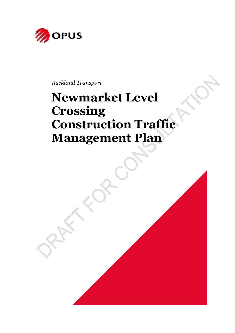

*Auckland Transport*

# **Newmarket Level Crossing Construction Traffic Management Plan**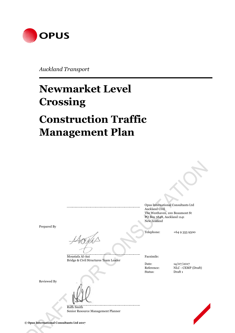

*Auckland Transport*

# **Newmarket Level Crossing**

# **Construction Traffic Management Plan**

Prepared By

Moustafa Al-Ani Facsimile: Bridge & Civil Structures Team Leader

Reviewed By

Ruth Smith Senior Resource Management Planner

Opus International Consultants Ltd Auckland Civil The Westhaven, 100 Beaumont St PO Box 5848, Auckland 1141 New Zealand

Telephone: +64 9 355 9500

Status: Draft 1

Date:  $14/07/2017$ Reference: NLC - CEMP (Draft)

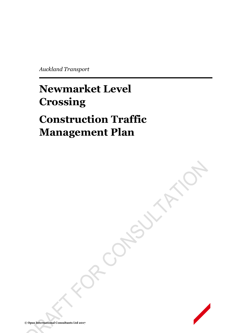*Auckland Transport*

# **Newmarket Level Crossing**

# **Construction Traffic Management Plan**

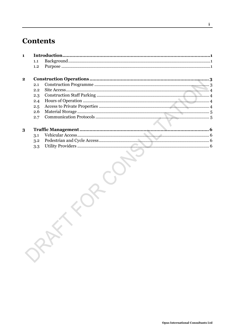# **Contents**

| $\blacksquare$ |     |  |  |  |
|----------------|-----|--|--|--|
|                | 1.1 |  |  |  |
|                | 1.2 |  |  |  |
| $\mathbf{2}$   |     |  |  |  |
|                | 2.1 |  |  |  |
|                | 2.2 |  |  |  |
|                | 2.3 |  |  |  |
|                | 2.4 |  |  |  |
|                | 2.5 |  |  |  |
|                | 2.6 |  |  |  |
|                | 2.7 |  |  |  |
|                |     |  |  |  |
| 3              |     |  |  |  |
|                | 3.1 |  |  |  |
|                | 3.2 |  |  |  |

| 3·1<br>$3.2\phantom{0}$ | . | v<br>6 |
|-------------------------|---|--------|
| $3.3\,$                 |   | 6      |
|                         |   |        |
|                         |   |        |
|                         |   |        |
|                         |   |        |
|                         |   |        |
|                         |   |        |
|                         |   |        |
|                         |   |        |
|                         |   |        |
|                         |   |        |
|                         |   |        |
|                         |   |        |
|                         |   |        |
|                         |   |        |
|                         |   |        |
|                         |   |        |
|                         |   |        |
|                         |   |        |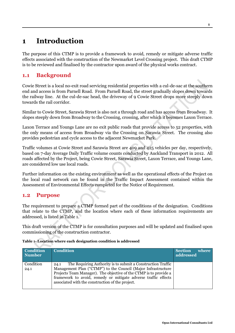## **1 Introduction**

The purpose of this CTMP is to provide a framework to avoid, remedy or mitigate adverse traffic effects associated with the construction of the Newmarket Level Crossing project. This draft CTMP is to be reviewed and finalised by the contractor upon award of the physical works contract.

### **1.1 Background**

Cowie Street is a local no-exit road servicing residential properties with a cul-de-sac at the southern end and access is from Parnell Road. From Parnell Road, the street gradually slopes down towards the railway line. At the cul-de-sac head, the driveway of 9 Cowie Street drops more steeply down towards the rail corridor.

Similar to Cowie Street, Sarawia Street is also not a through road and has access from Broadway. It slopes steeply down from Broadway to the Crossing, crossing, after which it becomes Laxon Terrace.

Laxon Terrace and Youngs Lane are no exit public roads that provide access to 52 properties, with the only means of access from Broadway via the Crossing on Sarawia Street. The crossing also provides pedestrian and cycle access to the adjacent Newmarket Park.

Traffic volumes at Cowie Street and Sarawia Street are 409 and 425 vehicles per day, respectively, based on 7-day Average Daily Traffic volume counts conducted by Auckland Transport in 2012. All roads affected by the Project, being Cowie Street, Sarawia Street, Laxon Terrace, and Youngs Lane, are considered low use local roads.

Further information on the existing environment as well as the operational effects of the Project on the local road network can be found in the Traffic Impact Assessment contained within the Assessment of Environmental Effects completed for the Notice of Requirement.

#### **1.2 Purpose**

The requirement to prepare a CTMP formed part of the conditions of the designation. Conditions that relate to the CTMP, and the location where each of these information requirements are addressed, is listed in Table 1.

This draft version of the CTMP is for consultation purposes and will be updated and finalised upon commissioning of the construction contractor.

| Table 1- Location where each designation condition is addressed |  |
|-----------------------------------------------------------------|--|
|-----------------------------------------------------------------|--|

| <b>Condition</b><br><b>Number</b> | <b>Condition</b>                                                                                                                                                                                                                                                                                                                | <b>Section</b><br>where<br>addressed |
|-----------------------------------|---------------------------------------------------------------------------------------------------------------------------------------------------------------------------------------------------------------------------------------------------------------------------------------------------------------------------------|--------------------------------------|
| Condition<br>24.1                 | The Requiring Authority is to submit a Construction Traffic<br>24.1<br>Management Plan ("CTMP") to the Council (Major Infrastructure<br>Projects Team Manager). The objective of the CTMP is to provide a<br>framework to avoid, remedy or mitigate adverse traffic effects<br>associated with the construction of the project. |                                      |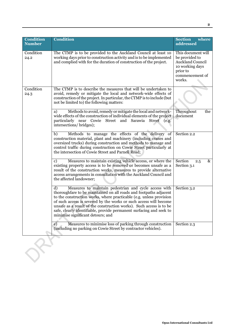| <b>Condition</b><br><b>Number</b> | <b>Condition</b>                                                                                                                                                                                                                                                                                                                                                                                                                                                | <b>Section</b><br>where<br>addressed                                                                                        |
|-----------------------------------|-----------------------------------------------------------------------------------------------------------------------------------------------------------------------------------------------------------------------------------------------------------------------------------------------------------------------------------------------------------------------------------------------------------------------------------------------------------------|-----------------------------------------------------------------------------------------------------------------------------|
| Condition<br>24.2                 | The CTMP is to be provided to the Auckland Council at least 10<br>working days prior to construction activity and is to be implemented<br>and complied with for the duration of construction of the project.                                                                                                                                                                                                                                                    | This document will<br>be provided to<br><b>Auckland Council</b><br>10 working days<br>prior to<br>commencement of<br>works. |
| Condition<br>24.3                 | The CTMP is to describe the measures that will be undertaken to<br>avoid, remedy or mitigate the local and network-wide effects of<br>construction of the project. In particular, the CTMP is to include (but<br>not be limited to) the following matters:                                                                                                                                                                                                      |                                                                                                                             |
|                                   | Methods to avoid, remedy or mitigate the local and network-<br>a)<br>wide effects of the construction of individual elements of the project<br>particularly near Cowie Street and Sarawia<br>Street<br>(e.g.<br>intersections/bridges);                                                                                                                                                                                                                         | Throughout<br>the<br>document                                                                                               |
|                                   | Methods to manage the effects of the delivery of<br>b)<br>construction material, plant and machinery (including cranes and<br>oversized trucks) during construction and methods to manage and<br>control traffic during construction on Cowie Street particularly at<br>the intersection of Cowie Street and Parnell Road;                                                                                                                                      | Section 2.2                                                                                                                 |
|                                   | Measures to maintain existing vehicle access, or where the<br>c)<br>existing property access is to be removed or becomes unsafe as a<br>result of the construction works, measures to provide alternative<br>access arrangements in consultation with the Auckland Council and<br>the affected landowner;                                                                                                                                                       | Section<br>$\&$<br>2.5<br>Section 3.1                                                                                       |
|                                   | d)<br>Measures to maintain pedestrian and cycle access with<br>thoroughfare to be maintained on all roads and footpaths adjacent<br>to the construction works, where practicable (e.g. unless provision<br>of such access is severed by the works or such access will become<br>unsafe as a result of the construction works). Such access is to be<br>safe, clearly identifiable, provide permanent surfacing and seek to<br>minimise significant detours; and | Section 3.2                                                                                                                 |
|                                   | Measures to minimise loss of parking through construction<br>$\epsilon$ )<br>(including no parking on Cowie Street by contractor vehicles).                                                                                                                                                                                                                                                                                                                     | Section 2.3                                                                                                                 |
|                                   |                                                                                                                                                                                                                                                                                                                                                                                                                                                                 |                                                                                                                             |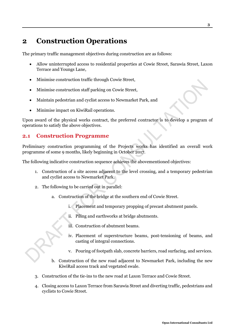## **2 Construction Operations**

The primary traffic management objectives during construction are as follows:

- Allow uninterrupted access to residential properties at Cowie Street, Sarawia Street, Laxon Terrace and Youngs Lane,
- Minimise construction traffic through Cowie Street,
- Minimise construction staff parking on Cowie Street,
- Maintain pedestrian and cyclist access to Newmarket Park, and
- Minimise impact on KiwiRail operations.

Upon award of the physical works contract, the preferred contractor is to develop a program of operations to satisfy the above objectives.

#### **2.1 Construction Programme**

Preliminary construction programming of the Projects works has identified an overall work programme of some 9 months, likely beginning in October 2017.

The following indicative construction sequence achieves the abovementioned objectives:

- 1. Construction of a site access adjacent to the level crossing, and a temporary pedestrian and cyclist access to Newmarket Park.
- 2. The following to be carried out in parallel:
	- a. Construction of the bridge at the southern end of Cowie Street.
		- i. Placement and temporary propping of precast abutment panels.
		- ii. Piling and earthworks at bridge abutments.
		- iii. Construction of abutment beams.
		- iv. Placement of superstructure beams, post-tensioning of beams, and casting of integral connections.
		- v. Pouring of footpath slab, concrete barriers, road surfacing, and services.
	- b. Construction of the new road adjacent to Newmarket Park, including the new KiwiRail access track and vegetated swale.
- 3. Construction of the tie-ins to the new road at Laxon Terrace and Cowie Street.
- 4. Closing access to Laxon Terrace from Sarawia Street and diverting traffic, pedestrians and cyclists to Cowie Street.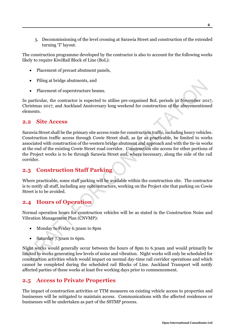5. Decommissioning of the level crossing at Sarawia Street and construction of the extended turning 'T' layout.

The construction programme developed by the contractor is also to account for the following works likely to require KiwiRail Block of Line (BoL):

- Placement of precast abutment panels,
- Piling at bridge abutments, and
- Placement of superstructure beams.

In particular, the contractor is expected to utilise pre-organised BoL periods in November 2017, Christmas 2017, and Auckland Anniversary long weekend for construction of the abovementioned elements.

#### **2.2 Site Access**

Sarawia Street shall be the primary site access route for construction traffic, including heavy vehicles. Construction traffic access through Cowie Street shall, as far as practicable, be limited to works associated with construction of the western bridge abutment and approach and with the tie-in works at the end of the existing Cowie Street road corridor. Construction site access for other portions of the Project works is to be through Sarawia Street and, where necessary, along the side of the rail corridor.

#### **2.3 Construction Staff Parking**

Where practicable, some staff parking will be available within the construction site. The contractor is to notify all staff, including any subcontractors, working on the Project site that parking on Cowie Street is to be avoided.

#### **2.4 Hours of Operation**

Normal operation hours for construction vehicles will be as stated in the Construction Noise and Vibration Management Plan (CNVMP):

- Monday to Friday 6.30am to 8pm
- Saturday 7.30am to 6pm.

Night works would generally occur between the hours of 8pm to 6.30am and would primarily be limited to works generating low levels of noise and vibration. Night works will only be scheduled for construction activities which would impact on normal day-time rail corridor operations and which cannot be completed during the scheduled rail Blocks of Line. Auckland Transport will notify affected parties of these works at least five working days prior to commencement.

#### **2.5 Access to Private Properties**

The impact of construction activities or TTM measures on existing vehicle access to properties and businesses will be mitigated to maintain access. Communications with the affected residences or businesses will be undertaken as part of the SSTMP process.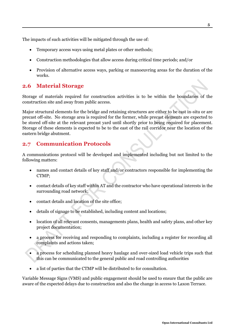The impacts of such activities will be mitigated through the use of:

- Temporary access ways using metal plates or other methods;
- Construction methodologies that allow access during critical time periods; and/or
- Provision of alternative access ways, parking or manoeuvring areas for the duration of the works.

### **2.6 Material Storage**

Storage of materials required for construction activities is to be within the boundaries of the construction site and away from public access.

Major structural elements for the bridge and retaining structures are either to be cast in-situ or are precast off-site. No storage area is required for the former, while precast elements are expected to be stored off-site at the relevant precast yard until shortly prior to being required for placement. Storage of these elements is expected to be to the east of the rail corridor near the location of the eastern bridge abutment.

### **2.7 Communication Protocols**

A communications protocol will be developed and implemented including but not limited to the following matters:

- names and contact details of key staff and/or contractors responsible for implementing the CTMP;
- contact details of key staff within AT and the contractor who have operational interests in the surrounding road network;
- contact details and location of the site office:
- details of signage to be established, including content and locations;
- location of all relevant consents, managements plans, health and safety plans, and other key project documentation;
- a process for receiving and responding to complaints, including a register for recording all complaints and actions taken;
- a process for scheduling planned heavy haulage and over-sized load vehicle trips such that this can be communicated to the general public and road controlling authorities
- a list of parties that the CTMP will be distributed to for consultation.

Variable Message Signs (VMS) and public engagement should be used to ensure that the public are aware of the expected delays due to construction and also the change in access to Laxon Terrace.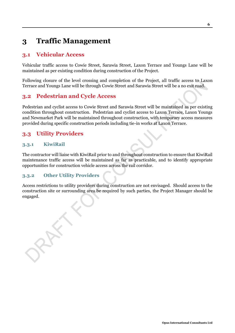## **3 Traffic Management**

### **3.1 Vehicular Access**

Vehicular traffic access to Cowie Street, Sarawia Street, Laxon Terrace and Youngs Lane will be maintained as per existing condition during construction of the Project.

Following closure of the level crossing and completion of the Project, all traffic access to Laxon Terrace and Youngs Lane will be through Cowie Street and Sarawia Street will be a no exit road.

### **3.2 Pedestrian and Cycle Access**

Pedestrian and cyclist access to Cowie Street and Sarawia Street will be maintained as per existing condition throughout construction. Pedestrian and cyclist access to Laxon Terrace, Laxon Youngs and Newmarket Park will be maintained throughout construction, with temporary access measures provided during specific construction periods including tie-in works at Laxon Terrace.

## **3.3 Utility Providers**

#### **3.3.1 KiwiRail**

The contractor will liaise with KiwiRail prior to and throughout construction to ensure that KiwiRail maintenance traffic access will be maintained as far as practicable, and to identify appropriate opportunities for construction vehicle access across the rail corridor.

#### **3.3.2 Other Utility Providers**

Access restrictions to utility providers during construction are not envisaged. Should access to the construction site or surrounding area be required by such parties, the Project Manager should be engaged.

**Opus International Consultants Ltd**